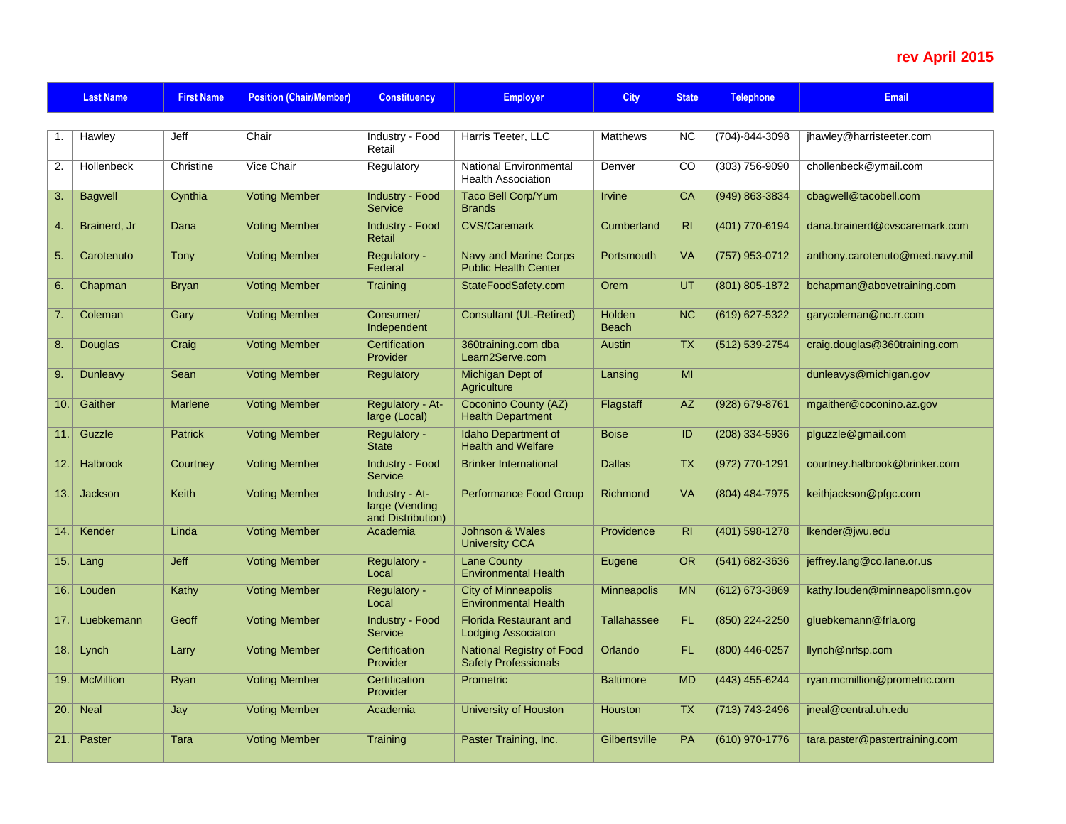## **rev April 2015**

|      | <b>Last Name</b>  | <b>First Name</b> | <b>Position (Chair/Member)</b> | <b>Constituency</b>                                   | <b>Employer</b>                                             | <b>City</b>            | <b>State</b>   | <b>Telephone</b>   | <b>Email</b>                    |
|------|-------------------|-------------------|--------------------------------|-------------------------------------------------------|-------------------------------------------------------------|------------------------|----------------|--------------------|---------------------------------|
|      |                   |                   |                                |                                                       |                                                             |                        |                |                    |                                 |
| 1.   | Hawley            | Jeff              | Chair                          | Industry - Food<br>Retail                             | Harris Teeter, LLC                                          | <b>Matthews</b>        | <b>NC</b>      | (704)-844-3098     | jhawley@harristeeter.com        |
| 2.   | <b>Hollenbeck</b> | Christine         | Vice Chair                     | Regulatory                                            | National Environmental<br><b>Health Association</b>         | Denver                 | CO             | (303) 756-9090     | chollenbeck@ymail.com           |
| 3.   | <b>Bagwell</b>    | Cynthia           | <b>Voting Member</b>           | <b>Industry - Food</b><br>Service                     | <b>Taco Bell Corp/Yum</b><br><b>Brands</b>                  | <b>Irvine</b>          | CA             | (949) 863-3834     | cbagwell@tacobell.com           |
| 4.   | Brainerd, Jr      | Dana              | <b>Voting Member</b>           | <b>Industry - Food</b><br>Retail                      | <b>CVS/Caremark</b>                                         | Cumberland             | R <sub>l</sub> | $(401)$ 770-6194   | dana.brainerd@cvscaremark.com   |
| 5.   | Carotenuto        | Tony              | <b>Voting Member</b>           | Regulatory -<br>Federal                               | <b>Navy and Marine Corps</b><br><b>Public Health Center</b> | Portsmouth             | <b>VA</b>      | $(757)$ 953-0712   | anthony.carotenuto@med.navy.mil |
| 6.   | Chapman           | <b>Bryan</b>      | <b>Voting Member</b>           | Training                                              | StateFoodSafety.com                                         | Orem                   | UT             | $(801) 805 - 1872$ | bchapman@abovetraining.com      |
| 7.   | Coleman           | Gary              | <b>Voting Member</b>           | Consumer/<br>Independent                              | <b>Consultant (UL-Retired)</b>                              | Holden<br><b>Beach</b> | <b>NC</b>      | (619) 627-5322     | garycoleman@nc.rr.com           |
| 8.   | <b>Douglas</b>    | Craig             | <b>Voting Member</b>           | Certification<br>Provider                             | 360training.com dba<br>Learn2Serve.com                      | Austin                 | <b>TX</b>      | (512) 539-2754     | craig.douglas@360training.com   |
| 9.   | <b>Dunleavy</b>   | Sean              | <b>Voting Member</b>           | Regulatory                                            | Michigan Dept of<br>Agriculture                             | Lansing                | MI             |                    | dunleavys@michigan.gov          |
| 10.  | Gaither           | <b>Marlene</b>    | <b>Voting Member</b>           | Regulatory - At-<br>large (Local)                     | <b>Coconino County (AZ)</b><br><b>Health Department</b>     | Flagstaff              | <b>AZ</b>      | (928) 679-8761     | mgaither@coconino.az.gov        |
| 11.1 | Guzzle            | <b>Patrick</b>    | <b>Voting Member</b>           | Regulatory -<br><b>State</b>                          | Idaho Department of<br><b>Health and Welfare</b>            | <b>Boise</b>           | ID             | $(208)$ 334-5936   | plguzzle@gmail.com              |
| 12.  | Halbrook          | Courtney          | <b>Voting Member</b>           | <b>Industry - Food</b><br>Service                     | <b>Brinker International</b>                                | <b>Dallas</b>          | <b>TX</b>      | (972) 770-1291     | courtney.halbrook@brinker.com   |
| 13.  | <b>Jackson</b>    | Keith             | <b>Voting Member</b>           | Industry - At-<br>large (Vending<br>and Distribution) | Performance Food Group                                      | Richmond               | VA             | (804) 484-7975     | keithjackson@pfgc.com           |
| 14.1 | Kender            | Linda             | <b>Voting Member</b>           | Academia                                              | <b>Johnson &amp; Wales</b><br><b>University CCA</b>         | Providence             | R <sub>l</sub> | $(401)$ 598-1278   | Ikender@jwu.edu                 |
| 15.1 | Lang              | Jeff              | <b>Voting Member</b>           | Regulatory -<br>Local                                 | Lane County<br><b>Environmental Health</b>                  | Eugene                 | <b>OR</b>      | (541) 682-3636     | jeffrey.lang@co.lane.or.us      |
| 16.  | Louden            | Kathy             | <b>Voting Member</b>           | Regulatory -<br>Local                                 | <b>City of Minneapolis</b><br><b>Environmental Health</b>   | <b>Minneapolis</b>     | <b>MN</b>      | (612) 673-3869     | kathy.louden@minneapolismn.gov  |
| 17.  | Luebkemann        | Geoff             | <b>Voting Member</b>           | <b>Industry - Food</b><br>Service                     | <b>Florida Restaurant and</b><br><b>Lodging Associaton</b>  | <b>Tallahassee</b>     | FL.            | (850) 224-2250     | gluebkemann@frla.org            |
| 18.  | Lynch             | Larry             | <b>Voting Member</b>           | Certification<br>Provider                             | <b>National Registry of Food</b><br>Safety Professionals    | Orlando                | <b>FL</b>      | (800) 446-0257     | llynch@nrfsp.com                |
| 19.  | <b>McMillion</b>  | Ryan              | <b>Voting Member</b>           | Certification<br>Provider                             | Prometric                                                   | <b>Baltimore</b>       | <b>MD</b>      | (443) 455-6244     | ryan.mcmillion@prometric.com    |
| 20.  | <b>Neal</b>       | Jay               | <b>Voting Member</b>           | Academia                                              | <b>University of Houston</b>                                | Houston                | <b>TX</b>      | $(713) 743 - 2496$ | jneal@central.uh.edu            |
| 21.1 | Paster            | Tara              | <b>Voting Member</b>           | Training                                              | Paster Training, Inc.                                       | Gilbertsville          | <b>PA</b>      | (610) 970-1776     | tara.paster@pastertraining.com  |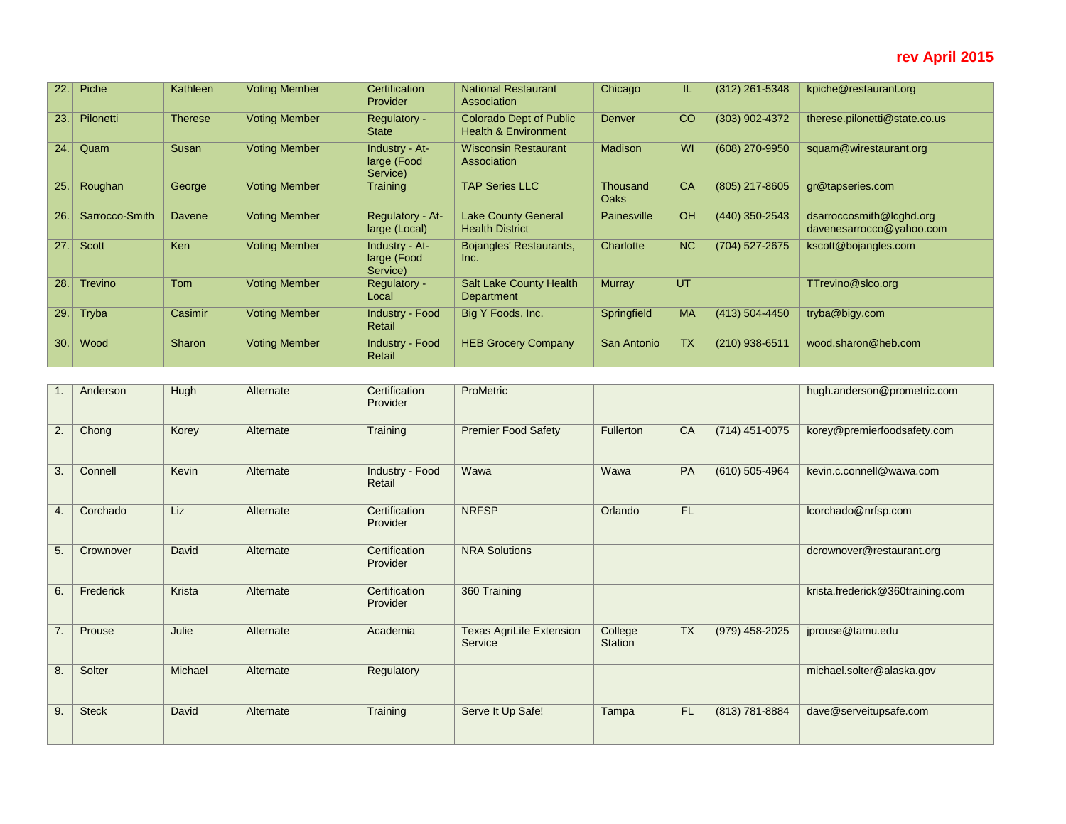## **rev April 2015**

| 22.1 | Piche          | Kathleen       | <b>Voting Member</b> | Certification<br>Provider                 | <b>National Restaurant</b><br>Association                         | Chicago                        | IL.       | $(312)$ 261-5348 | kpiche@restaurant.org                                |
|------|----------------|----------------|----------------------|-------------------------------------------|-------------------------------------------------------------------|--------------------------------|-----------|------------------|------------------------------------------------------|
| 23.1 | Pilonetti      | <b>Therese</b> | <b>Voting Member</b> | Regulatory -<br><b>State</b>              | <b>Colorado Dept of Public</b><br><b>Health &amp; Environment</b> | <b>Denver</b>                  | CO        | (303) 902-4372   | therese.pilonetti@state.co.us                        |
| 24.  | Quam           | Susan          | <b>Voting Member</b> | Industry - At-<br>large (Food<br>Service) | <b>Wisconsin Restaurant</b><br>Association                        | <b>Madison</b>                 | WI        | (608) 270-9950   | squam@wirestaurant.org                               |
| 25.1 | Roughan        | George         | <b>Voting Member</b> | Training                                  | <b>TAP Series LLC</b>                                             | <b>Thousand</b><br><b>Oaks</b> | CA        | (805) 217-8605   | gr@tapseries.com                                     |
| 26.  | Sarrocco-Smith | Davene         | <b>Voting Member</b> | Regulatory - At-<br>large (Local)         | <b>Lake County General</b><br><b>Health District</b>              | Painesville                    | OH        | (440) 350-2543   | dsarroccosmith@lcghd.org<br>davenesarrocco@yahoo.com |
| 27.1 | Scott          | Ken            | <b>Voting Member</b> | Industry - At-<br>large (Food<br>Service) | Bojangles' Restaurants,<br>Inc.                                   | Charlotte                      | <b>NC</b> | (704) 527-2675   | kscott@bojangles.com                                 |
| 28.  | <b>Trevino</b> | <b>Tom</b>     | <b>Voting Member</b> | Regulatory -<br>Local                     | <b>Salt Lake County Health</b><br>Department                      | <b>Murray</b>                  | UT        |                  | TTrevino@slco.org                                    |
| 29.  | Tryba          | Casimir        | <b>Voting Member</b> | Industry - Food<br>Retail                 | Big Y Foods, Inc.                                                 | Springfield                    | <b>MA</b> | (413) 504-4450   | tryba@bigy.com                                       |
| 30.  | Wood           | Sharon         | <b>Voting Member</b> | Industry - Food<br>Retail                 | <b>HEB Grocery Company</b>                                        | San Antonio                    | <b>TX</b> | $(210)$ 938-6511 | wood.sharon@heb.com                                  |

|    | Anderson     | Hugh    | Alternate | Certification<br>Provider | ProMetric                                  |                    |           |                    | hugh.anderson@prometric.com      |
|----|--------------|---------|-----------|---------------------------|--------------------------------------------|--------------------|-----------|--------------------|----------------------------------|
| 2. | Chong        | Korey   | Alternate | Training                  | <b>Premier Food Safety</b>                 | Fullerton          | CA        | $(714)$ 451-0075   | korey@premierfoodsafety.com      |
| 3. | Connell      | Kevin   | Alternate | Industry - Food<br>Retail | Wawa                                       | Wawa               | PA        | $(610) 505 - 4964$ | kevin.c.connell@wawa.com         |
| 4. | Corchado     | Liz     | Alternate | Certification<br>Provider | <b>NRFSP</b>                               | Orlando            | <b>FL</b> |                    | lcorchado@nrfsp.com              |
| 5. | Crownover    | David   | Alternate | Certification<br>Provider | <b>NRA Solutions</b>                       |                    |           |                    | dcrownover@restaurant.org        |
| 6. | Frederick    | Krista  | Alternate | Certification<br>Provider | 360 Training                               |                    |           |                    | krista.frederick@360training.com |
| 7. | Prouse       | Julie   | Alternate | Academia                  | <b>Texas AgriLife Extension</b><br>Service | College<br>Station | <b>TX</b> | (979) 458-2025     | jprouse@tamu.edu                 |
| 8. | Solter       | Michael | Alternate | Regulatory                |                                            |                    |           |                    | michael.solter@alaska.gov        |
| 9. | <b>Steck</b> | David   | Alternate | Training                  | Serve It Up Safe!                          | Tampa              | <b>FL</b> | (813) 781-8884     | dave@serveitupsafe.com           |